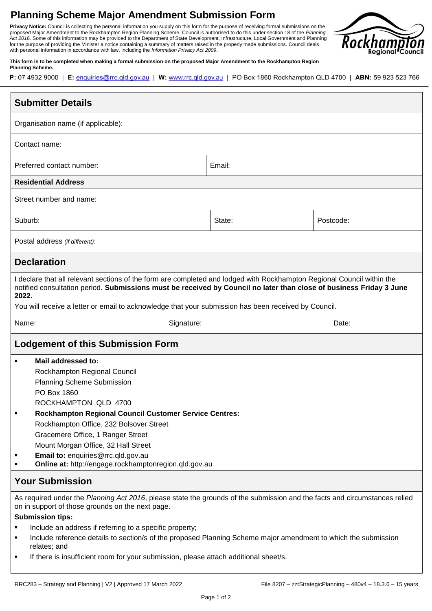## **Planning Scheme Major Amendment Submission Form**

**Privacy Notice:** Council is collecting the personal information you supply on this form for the purpose of receiving formal submissions on the proposed Major Amendment to the Rockhampton Region Planning Scheme. Council is authorised to do this under section 18 of the *Planning Act 2016*. Some of this information may be provided to the Department of State Development, Infrastructure, Local Government and Planning for the purpose of providing the Minister a notice containing a summary of matters raised in the properly made submissions. Council deals with personal information in accordance with law, including the *Information Privacy Act 2009*.



**This form is to be completed when making a formal submission on the proposed Major Amendment to the Rockhampton Region Planning Scheme.**

| P: 07 4932 9000   E: enquiries@rrc.qld.gov.au   W: www.rrc.qld.gov.au   PO Box 1860 Rockhampton QLD 4700   ABN: 59 923 523 766 |  |  |
|--------------------------------------------------------------------------------------------------------------------------------|--|--|
|--------------------------------------------------------------------------------------------------------------------------------|--|--|

| <b>Submitter Details</b>                                                                                                                                                                                                                                                                                                                                                                                                                                                                                      |        |           |  |  |
|---------------------------------------------------------------------------------------------------------------------------------------------------------------------------------------------------------------------------------------------------------------------------------------------------------------------------------------------------------------------------------------------------------------------------------------------------------------------------------------------------------------|--------|-----------|--|--|
| Organisation name (if applicable):                                                                                                                                                                                                                                                                                                                                                                                                                                                                            |        |           |  |  |
| Contact name:                                                                                                                                                                                                                                                                                                                                                                                                                                                                                                 |        |           |  |  |
| Preferred contact number:                                                                                                                                                                                                                                                                                                                                                                                                                                                                                     | Email: |           |  |  |
| <b>Residential Address</b>                                                                                                                                                                                                                                                                                                                                                                                                                                                                                    |        |           |  |  |
| Street number and name:                                                                                                                                                                                                                                                                                                                                                                                                                                                                                       |        |           |  |  |
| Suburb:                                                                                                                                                                                                                                                                                                                                                                                                                                                                                                       | State: | Postcode: |  |  |
| Postal address (if different):                                                                                                                                                                                                                                                                                                                                                                                                                                                                                |        |           |  |  |
| <b>Declaration</b>                                                                                                                                                                                                                                                                                                                                                                                                                                                                                            |        |           |  |  |
| I declare that all relevant sections of the form are completed and lodged with Rockhampton Regional Council within the<br>notified consultation period. Submissions must be received by Council no later than close of business Friday 3 June<br>2022.<br>You will receive a letter or email to acknowledge that your submission has been received by Council.                                                                                                                                                |        |           |  |  |
| Name:<br>Signature:                                                                                                                                                                                                                                                                                                                                                                                                                                                                                           |        | Date:     |  |  |
| Lodgement of this Submission Form                                                                                                                                                                                                                                                                                                                                                                                                                                                                             |        |           |  |  |
| Mail addressed to:<br>٠<br>Rockhampton Regional Council<br><b>Planning Scheme Submission</b><br>PO Box 1860<br>ROCKHAMPTON QLD 4700<br><b>Rockhampton Regional Council Customer Service Centres:</b><br>Rockhampton Office, 232 Bolsover Street<br>Gracemere Office, 1 Ranger Street<br>Mount Morgan Office, 32 Hall Street<br>Email to: enquiries@rrc.qld.gov.au<br>Online at: http://engage.rockhamptonregion.qld.gov.au<br>٠                                                                               |        |           |  |  |
| <b>Your Submission</b>                                                                                                                                                                                                                                                                                                                                                                                                                                                                                        |        |           |  |  |
| As required under the Planning Act 2016, please state the grounds of the submission and the facts and circumstances relied<br>on in support of those grounds on the next page.<br><b>Submission tips:</b><br>Include an address if referring to a specific property;<br>٠<br>Include reference details to section/s of the proposed Planning Scheme major amendment to which the submission<br>٠<br>relates; and<br>If there is insufficient room for your submission, please attach additional sheet/s.<br>٠ |        |           |  |  |